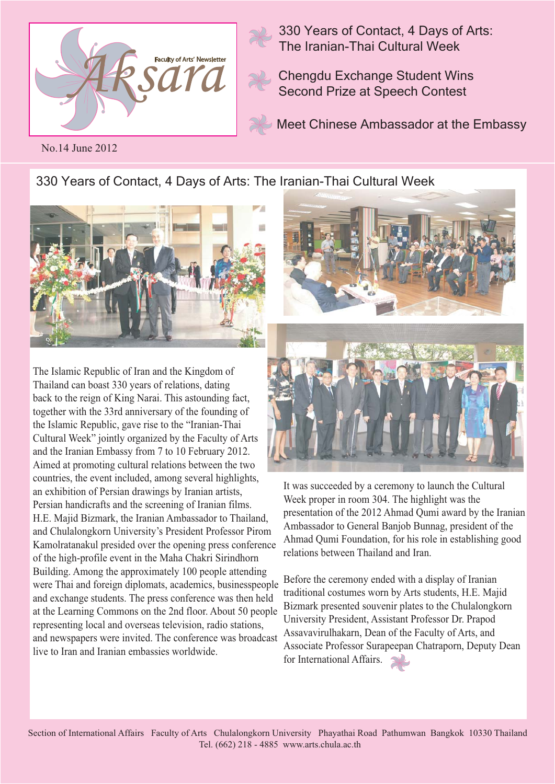

330 Years of Contact, 4 Days of Arts: The Iranian-Thai Cultural Week

Chengdu Exchange Student Wins Second Prize at Speech Contest

Meet Chinese Ambassador at the Embassy

No.14 June 2012

330 Years of Contact, 4 Days of Arts: The Iranian-Thai Cultural Week



The Islamic Republic of Iran and the Kingdom of Thailand can boast 330 years of relations, dating back to the reign of King Narai. This astounding fact, together with the 33rd anniversary of the founding of the Islamic Republic, gave rise to the "Iranian-Thai Cultural Week" jointly organized by the Faculty of Arts and the Iranian Embassy from 7 to 10 February 2012. Aimed at promoting cultural relations between the two countries, the event included, among several highlights, an exhibition of Persian drawings by Iranian artists, Persian handicrafts and the screening of Iranian films. H.E. Majid Bizmark, the Iranian Ambassador to Thailand, and Chulalongkorn University's President Professor Pirom Kamolratanakul presided over the opening press conference of the high-profile event in the Maha Chakri Sirindhorn Building. Among the approximately 100 people attending were Thai and foreign diplomats, academics, businesspeople and exchange students. The press conference was then held at the Learning Commons on the 2nd floor. About 50 people representing local and overseas television, radio stations, and newspapers were invited. The conference was broadcast live to Iran and Iranian embassies worldwide.



It was succeeded by a ceremony to launch the Cultural Week proper in room 304. The highlight was the presentation of the 2012 Ahmad Qumi award by the Iranian Ambassador to General Banjob Bunnag, president of the Ahmad Qumi Foundation, for his role in establishing good relations between Thailand and Iran.

Before the ceremony ended with a display of Iranian traditional costumes worn by Arts students, H.E. Majid Bizmark presented souvenir plates to the Chulalongkorn University President, Assistant Professor Dr. Prapod Assavavirulhakarn, Dean of the Faculty of Arts, and Associate Professor Surapeepan Chatraporn, Deputy Dean for International Affairs.

Section of International Affairs Faculty of Arts Chulalongkorn University Phayathai Road Pathumwan Bangkok 10330 Thailand Tel. (662) 218 - 4885 www.arts.chula.ac.th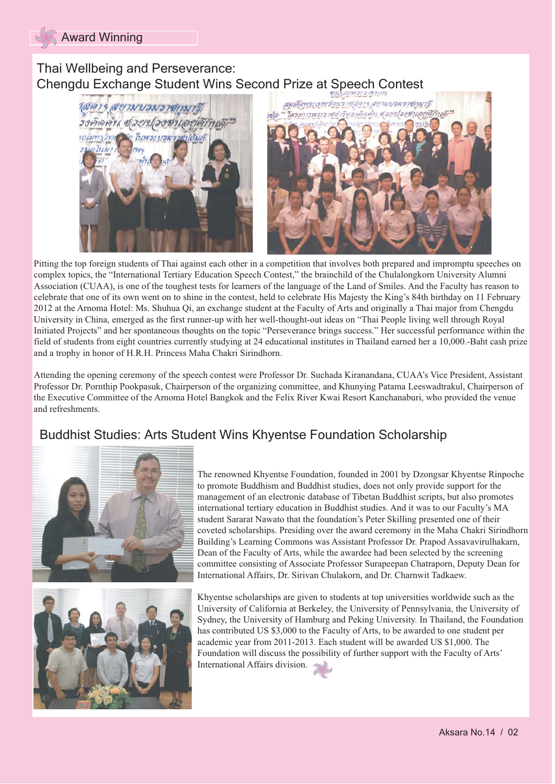# Thai Wellbeing and Perseverance: Chengdu Exchange Student Wins Second Prize at Speech Contest





Pitting the top foreign students of Thai against each other in a competition that involves both prepared and impromptu speeches on complex topics, the "International Tertiary Education Speech Contest," the brainchild of the Chulalongkorn University Alumni Association (CUAA), is one of the toughest tests for learners of the language of the Land of Smiles. And the Faculty has reason to celebrate that one of its own went on to shine in the contest, held to celebrate His Majesty the King's 84th birthday on 11 February 2012 at the Arnoma Hotel: Ms. Shuhua Qi, an exchange student at the Faculty of Arts and originally a Thai major from Chengdu University in China, emerged as the first runner-up with her well-thought-out ideas on "Thai People living well through Royal Initiated Projects" and her spontaneous thoughts on the topic "Perseverance brings success." Her successful performance within the field of students from eight countries currently studying at 24 educational institutes in Thailand earned her a 10,000.-Baht cash prize and a trophy in honor of H.R.H. Princess Maha Chakri Sirindhorn.

Attending the opening ceremony of the speech contest were Professor Dr. Suchada Kiranandana, CUAA's Vice President, Assistant Professor Dr. Pornthip Pookpasuk, Chairperson of the organizing committee, and Khunying Patama Leeswadtrakul, Chairperson of the Executive Committee of the Arnoma Hotel Bangkok and the Felix River Kwai Resort Kanchanaburi, who provided the venue and refreshments.

# Buddhist Studies: Arts Student Wins Khyentse Foundation Scholarship





The renowned Khyentse Foundation, founded in 2001 by Dzongsar Khyentse Rinpoche to promote Buddhism and Buddhist studies, does not only provide support for the management of an electronic database of Tibetan Buddhist scripts, but also promotes international tertiary education in Buddhist studies. And it was to our Faculty's MA student Sararat Nawato that the foundation's Peter Skilling presented one of their coveted scholarships. Presiding over the award ceremony in the Maha Chakri Sirindhorn Building's Learning Commons was Assistant Professor Dr. Prapod Assavavirulhakarn, Dean of the Faculty of Arts, while the awardee had been selected by the screening committee consisting of Associate Professor Surapeepan Chatraporn, Deputy Dean for International Affairs, Dr. Sirivan Chulakorn, and Dr. Charnwit Tadkaew.

Khyentse scholarships are given to students at top universities worldwide such as the University of California at Berkeley, the University of Pennsylvania, the University of Sydney, the University of Hamburg and Peking University. In Thailand, the Foundation has contributed US \$3,000 to the Faculty of Arts, to be awarded to one student per academic year from 2011-2013. Each student will be awarded US \$1,000. The Foundation will discuss the possibility of further support with the Faculty of Arts' International Affairs division.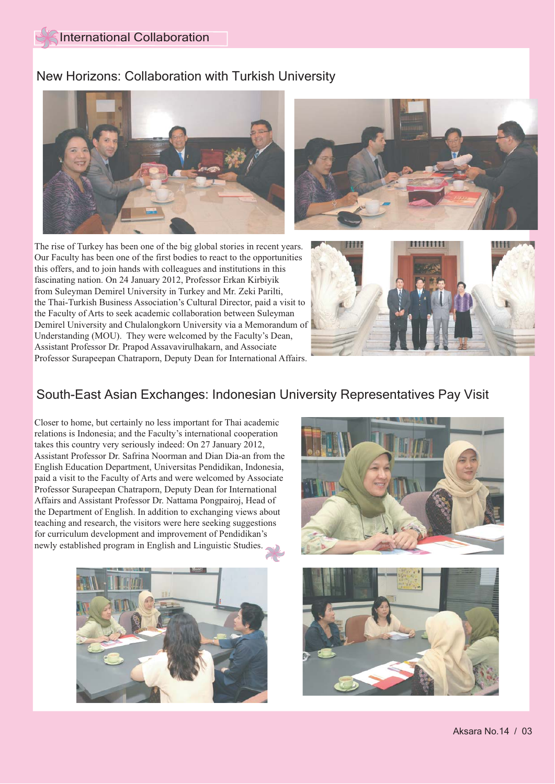#### New Horizons: Collaboration with Turkish University





The rise of Turkey has been one of the big global stories in recent years. Our Faculty has been one of the first bodies to react to the opportunities this offers, and to join hands with colleagues and institutions in this fascinating nation. On 24 January 2012, Professor Erkan Kirbiyik from Suleyman Demirel University in Turkey and Mr. Zeki Parilti, the Thai-Turkish Business Association's Cultural Director, paid a visit to the Faculty of Arts to seek academic collaboration between Suleyman Demirel University and Chulalongkorn University via a Memorandum of Understanding (MOU). They were welcomed by the Faculty's Dean, Assistant Professor Dr. Prapod Assavavirulhakarn, and Associate Professor Surapeepan Chatraporn, Deputy Dean for International Affairs.



# South-East Asian Exchanges: Indonesian University Representatives Pay Visit

Closer to home, but certainly no less important for Thai academic relations is Indonesia; and the Faculty's international cooperation takes this country very seriously indeed: On 27 January 2012, Assistant Professor Dr. Safrina Noorman and Dian Dia-an from the English Education Department, Universitas Pendidikan, Indonesia, paid a visit to the Faculty of Arts and were welcomed by Associate Professor Surapeepan Chatraporn, Deputy Dean for International Affairs and Assistant Professor Dr. Nattama Pongpairoj, Head of the Department of English. In addition to exchanging views about teaching and research, the visitors were here seeking suggestions for curriculum development and improvement of Pendidikan's newly established program in English and Linguistic Studies.